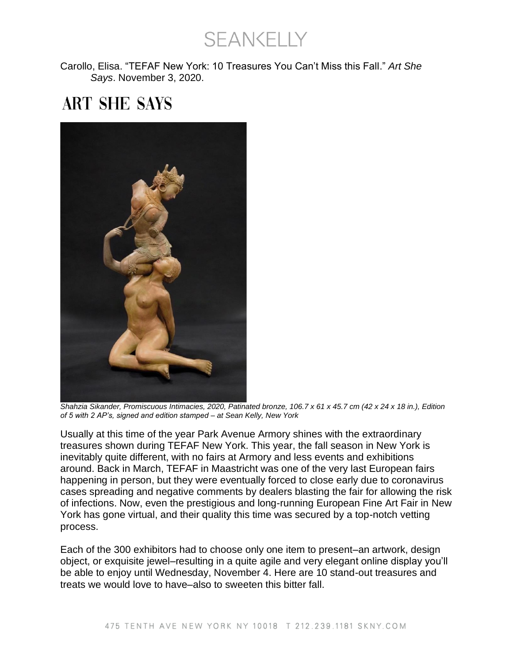**SEANKELLY** 

Carollo, Elisa. "TEFAF New York: 10 Treasures You Can't Miss this Fall." *Art She Says*. November 3, 2020.

## **ART SHE SAYS**



*Shahzia Sikander, Promiscuous Intimacies, 2020, Patinated bronze, 106.7 x 61 x 45.7 cm (42 x 24 x 18 in.), Edition of 5 with 2 AP's, signed and edition stamped – at Sean Kelly, New York*

Usually at this time of the year Park Avenue Armory shines with the extraordinary treasures shown during TEFAF New York. This year, the fall season in New York is inevitably quite different, with no fairs at Armory and less events and exhibitions around. Back in March, TEFAF in Maastricht was one of the very last European fairs happening in person, but they were eventually forced to close early due to coronavirus cases spreading and negative comments by dealers blasting the fair for allowing the risk of infections. Now, even the prestigious and long-running European Fine Art Fair in New York has gone virtual, and their quality this time was secured by a top-notch vetting process.

Each of the 300 exhibitors had to choose only one item to present–an artwork, design object, or exquisite jewel–resulting in a quite agile and very elegant online display you'll be able to enjoy until Wednesday, November 4. Here are 10 stand-out treasures and treats we would love to have–also to sweeten this bitter fall.